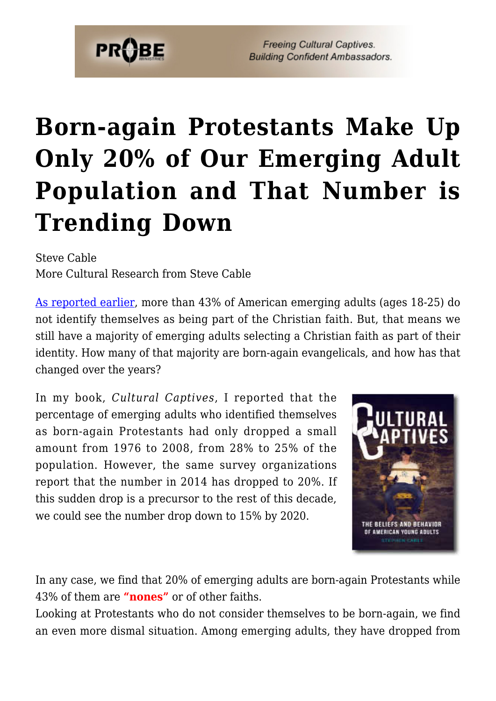

**Freeing Cultural Captives. Building Confident Ambassadors.** 

## **[Born-again Protestants Make Up](https://probe.org/born-again-protestants-make-up-only-20-of-our-emerging-adult-population-and-that-number-is-trending-down/) [Only 20% of Our Emerging Adult](https://probe.org/born-again-protestants-make-up-only-20-of-our-emerging-adult-population-and-that-number-is-trending-down/) [Population and That Number is](https://probe.org/born-again-protestants-make-up-only-20-of-our-emerging-adult-population-and-that-number-is-trending-down/) [Trending Down](https://probe.org/born-again-protestants-make-up-only-20-of-our-emerging-adult-population-and-that-number-is-trending-down/)**

Steve Cable More Cultural Research from Steve Cable

[As reported earlier,](https://www.probe.org/trend-indicates-over-half-of-emerging-adults-will-identify-as-non-christian-by-2020/) more than 43% of American emerging adults (ages 18-25) do not identify themselves as being part of the Christian faith. But, that means we still have a majority of emerging adults selecting a Christian faith as part of their identity. How many of that majority are born-again evangelicals, and how has that changed over the years?

In my book, *Cultural Captives*, I reported that the percentage of emerging adults who identified themselves as born-again Protestants had only dropped a small amount from 1976 to 2008, from 28% to 25% of the population. However, the same survey organizations report that the number in 2014 has dropped to 20%. If this sudden drop is a precursor to the rest of this decade, we could see the number drop down to 15% by 2020.



In any case, we find that 20% of emerging adults are born-again Protestants while 43% of them are **"nones"** or of other faiths.

Looking at Protestants who do not consider themselves to be born-again, we find an even more dismal situation. Among emerging adults, they have dropped from